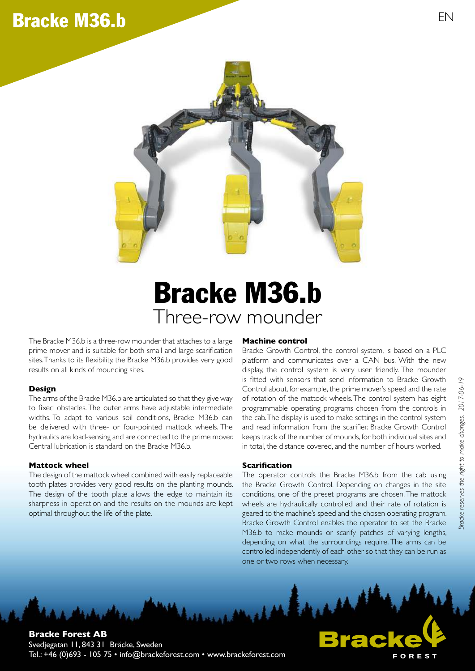## Bracke M36.b EN EN EN



# Three-row mounder Bracke M36.b

The Bracke M36.b is a three-row mounder that attaches to a large prime mover and is suitable for both small and large scarification sites. Thanks to its flexibility, the Bracke M36.b provides very good results on all kinds of mounding sites.

#### **Design**

The arms of the Bracke M36.b are articulated so that they give way to fixed obstacles. The outer arms have adjustable intermediate widths. To adapt to various soil conditions, Bracke M36.b can be delivered with three- or four-pointed mattock wheels. The hydraulics are load-sensing and are connected to the prime mover. Central lubrication is standard on the Bracke M36.b.

#### **Mattock wheel**

The design of the mattock wheel combined with easily replaceable tooth plates provides very good results on the planting mounds. The design of the tooth plate allows the edge to maintain its sharpness in operation and the results on the mounds are kept optimal throughout the life of the plate.

#### **Machine control**

Bracke Growth Control, the control system, is based on a PLC platform and communicates over a CAN bus. With the new display, the control system is very user friendly. The mounder is fitted with sensors that send information to Bracke Growth Control about, for example, the prime mover's speed and the rate of rotation of the mattock wheels. The control system has eight programmable operating programs chosen from the controls in the cab. The display is used to make settings in the control system and read information from the scarifier. Bracke Growth Control keeps track of the number of mounds, for both individual sites and in total, the distance covered, and the number of hours worked.

#### **Scariication**

The operator controls the Bracke M36.b from the cab using the Bracke Growth Control. Depending on changes in the site conditions, one of the preset programs are chosen. The mattock wheels are hydraulically controlled and their rate of rotation is geared to the machine's speed and the chosen operating program. Bracke Growth Control enables the operator to set the Bracke M36.b to make mounds or scarify patches of varying lengths, depending on what the surroundings require. The arms can be controlled independently of each other so that they can be run as one or two rows when necessary.



OREST